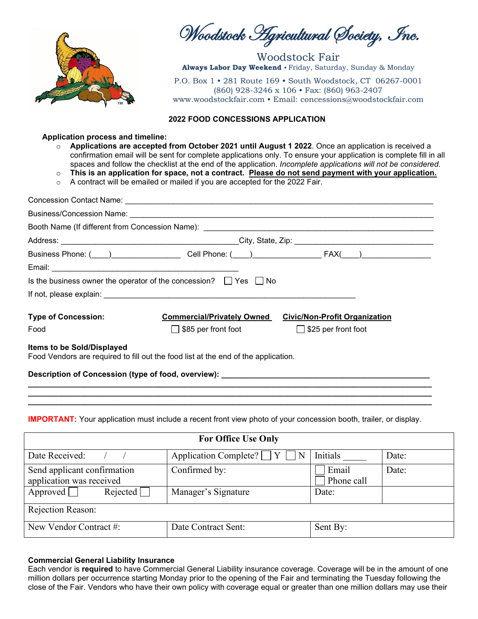

Woodstock Agricultural Society, Inc.

Woodstock Fair **Always Labor Day Weekend** • Friday, Saturday, Sunday & Monday

P.O. Box 1 • 281 Route 169 • South Woodstock, CT 06267-0001 (860) 928-3246 x 106 • Fax: (860) 963-2407 www.woodstockfair.com • Email: concessions@woodstockfair.com

#### **2022 FOOD CONCESSIONS APPLICATION**

#### **Application process and timeline:**

- o **Applications are accepted from October 2021 until August 1 2022**. Once an application is received a confirmation email will be sent for complete applications only. To ensure your application is complete fill in all spaces and follow the checklist at the end of the application. *Incomplete applications will not be considered.*
- o **This is an application for space, not a contract. Please do not send payment with your application.**
- o A contract will be emailed or mailed if you are accepted for the 2022 Fair.

|                                   |                                                                                    | Business Phone: (Comparently Cell Phone: (Comparently Cell Phone: (Comparently Cell Phone: (Comparently Cell Phone: (Comparently Cell Phone: (Comparently Cell Phone: (Comparently Cell Phone: (Comparently Cell Phone: (Compa |  |
|-----------------------------------|------------------------------------------------------------------------------------|--------------------------------------------------------------------------------------------------------------------------------------------------------------------------------------------------------------------------------|--|
|                                   |                                                                                    |                                                                                                                                                                                                                                |  |
|                                   | Is the business owner the operator of the concession? $\Box$ Yes $\Box$ No         |                                                                                                                                                                                                                                |  |
|                                   |                                                                                    |                                                                                                                                                                                                                                |  |
| <b>Type of Concession:</b>        | <b>Commercial/Privately Owned</b>                                                  | <b>Civic/Non-Profit Organization</b>                                                                                                                                                                                           |  |
| Food                              | $\Box$ \$85 per front foot                                                         | $\Box$ \$25 per front foot                                                                                                                                                                                                     |  |
| <b>Items to be Sold/Displayed</b> | Food Vendors are required to fill out the food list at the end of the application. |                                                                                                                                                                                                                                |  |
|                                   |                                                                                    | Description of Concession (type of food, overview): _____________________________                                                                                                                                              |  |
|                                   |                                                                                    |                                                                                                                                                                                                                                |  |
|                                   |                                                                                    |                                                                                                                                                                                                                                |  |

## **IMPORTANT:** Your application must include a recent front view photo of your concession booth, trailer, or display.

**\_\_\_\_\_\_\_\_\_\_\_\_\_\_\_\_\_\_\_\_\_\_\_\_\_\_\_\_\_\_\_\_\_\_\_\_\_\_\_\_\_\_\_\_\_\_\_\_\_\_\_\_\_\_\_\_\_\_\_\_\_\_\_\_\_\_\_\_\_\_\_\_\_\_\_\_\_\_\_\_\_\_\_\_\_\_\_\_\_\_\_\_\_**

| <b>For Office Use Only</b>                                |                                           |                     |       |  |
|-----------------------------------------------------------|-------------------------------------------|---------------------|-------|--|
| Date Received:                                            | Application Complete?<br>Y<br>$\mathbb N$ | Initials            | Date: |  |
| Send applicant confirmation<br>application was received   | Confirmed by:                             | Email<br>Phone call | Date: |  |
| Approved $\Box$<br>Rejected                               | Manager's Signature                       | Date:               |       |  |
| Rejection Reason:                                         |                                           |                     |       |  |
| New Vendor Contract #:<br>Sent By:<br>Date Contract Sent: |                                           |                     |       |  |

## **Commercial General Liability Insurance**

Each vendor is **required** to have Commercial General Liability insurance coverage. Coverage will be in the amount of one million dollars per occurrence starting Monday prior to the opening of the Fair and terminating the Tuesday following the close of the Fair. Vendors who have their own policy with coverage equal or greater than one million dollars may use their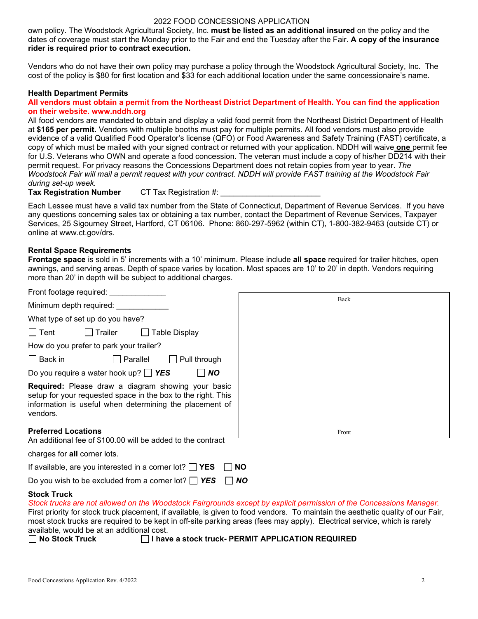own policy. The Woodstock Agricultural Society, Inc. **must be listed as an additional insured** on the policy and the dates of coverage must start the Monday prior to the Fair and end the Tuesday after the Fair. **A copy of the insurance rider is required prior to contract execution.**

Vendors who do not have their own policy may purchase a policy through the Woodstock Agricultural Society, Inc. The cost of the policy is \$80 for first location and \$33 for each additional location under the same concessionaire's name.

#### **Health Department Permits**

#### **All vendors must obtain a permit from the Northeast District Department of Health. You can find the application on their website. www.nddh.org**

All food vendors are mandated to obtain and display a valid food permit from the Northeast District Department of Health at **\$165 per permit.** Vendors with multiple booths must pay for multiple permits. All food vendors must also provide evidence of a valid Qualified Food Operator's license (QFO) or Food Awareness and Safety Training (FAST) certificate, a copy of which must be mailed with your signed contract or returned with your application. NDDH will waive **one** permit fee for U.S. Veterans who OWN and operate a food concession. The veteran must include a copy of his/her DD214 with their permit request. For privacy reasons the Concessions Department does not retain copies from year to year. *The Woodstock Fair will mail a permit request with your contract. NDDH will provide FAST training at the Woodstock Fair during set-up week.*

**Tax Registration Number** CT Tax Registration #:

Each Lessee must have a valid tax number from the State of Connecticut, Department of Revenue Services. If you have any questions concerning sales tax or obtaining a tax number, contact the Department of Revenue Services, Taxpayer Services, 25 Sigourney Street, Hartford, CT 06106. Phone: 860-297-5962 (within CT), 1-800-382-9463 (outside CT) or online at www.ct.gov/drs.

#### **Rental Space Requirements**

**Frontage space** is sold in 5' increments with a 10' minimum. Please include **all space** required for trailer hitches, open awnings, and serving areas. Depth of space varies by location. Most spaces are 10' to 20' in depth. Vendors requiring more than 20' in depth will be subject to additional charges.

| Front footage required:                                                                                                                                                                   |           |
|-------------------------------------------------------------------------------------------------------------------------------------------------------------------------------------------|-----------|
|                                                                                                                                                                                           | Back      |
| Minimum depth required:                                                                                                                                                                   |           |
| What type of set up do you have?                                                                                                                                                          |           |
| ∣ Tent<br>Table Display<br>l Trailer                                                                                                                                                      |           |
| How do you prefer to park your trailer?                                                                                                                                                   |           |
| $\Box$ Back in<br>$\Box$ Parallel<br>$\Box$ Pull through                                                                                                                                  |           |
| Do you require a water hook up? $\Box$ YES<br><b>NO</b>                                                                                                                                   |           |
| Required: Please draw a diagram showing your basic<br>setup for your requested space in the box to the right. This<br>information is useful when determining the placement of<br>vendors. |           |
| <b>Preferred Locations</b><br>An additional fee of \$100.00 will be added to the contract                                                                                                 | Front     |
| charges for all corner lots.                                                                                                                                                              |           |
| If available, are you interested in a corner lot? $\Box$ YES                                                                                                                              | <b>NO</b> |

Do you wish to be excluded from a corner lot? *YES NO* 

#### **Stock Truck**

| Stock trucks are not allowed on the Woodstock Fairgrounds except by explicit permission of the Concessions Manager.                                                                                                                                                                             |
|-------------------------------------------------------------------------------------------------------------------------------------------------------------------------------------------------------------------------------------------------------------------------------------------------|
| First priority for stock truck placement, if available, is given to food vendors. To maintain the aesthetic quality of our Fair,                                                                                                                                                                |
| most stock trucks are required to be kept in off-site parking areas (fees may apply). Electrical service, which is rarely                                                                                                                                                                       |
| available, would be at an additional cost.                                                                                                                                                                                                                                                      |
| $\Box$ . $\alpha$ . $\Box$ . $\Box$ . $\Box$ . $\Box$ . $\Box$ . $\Box$ . $\Box$ . $\Box$ . $\Box$ . $\Box$ . $\Box$ . $\Box$ . $\Box$ . $\Box$ . $\Box$ . $\Box$ . $\Box$ . $\Box$ . $\Box$ . $\Box$ . $\Box$ . $\Box$ . $\Box$ . $\Box$ . $\Box$ . $\Box$ . $\Box$ . $\Box$ . $\Box$ . $\Box$ |

**No Stock Truck I have a stock truck- PERMIT APPLICATION REQUIRED**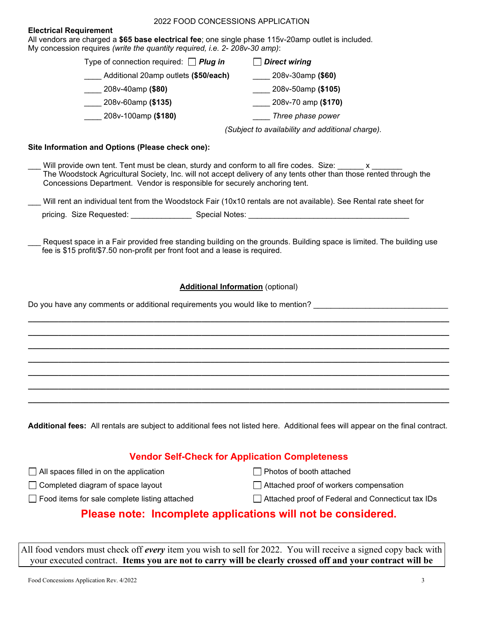#### **Electrical Requirement**

All vendors are charged a **\$65 base electrical fee**; one single phase 115v-20amp outlet is included. My concession requires *(write the quantity required, i.e. 2- 208v-30 amp)*:

> Type of connection required: *Plug in Direct wiring*  \_\_\_\_ Additional 20amp outlets **(\$50/each)** \_\_\_\_ 208v-30amp **(\$60)**  \_\_\_\_ 208v-40amp **(\$80)** \_\_\_\_ 208v-50amp **(\$105)** \_\_\_\_ 208v-60amp **(\$135)** \_\_\_\_ 208v-70 amp **(\$170)** \_\_\_\_ 208v-100amp **(\$180)** \_\_\_\_ *Three phase power*

> > *(Subject to availability and additional charge).*

#### **Site Information and Options (Please check one):**

|                          | Will provide own tent. Tent must be clean, sturdy and conform to all fire codes. Size:<br>The Woodstock Agricultural Society, Inc. will not accept delivery of any tents other than those rented through the<br>Concessions Department. Vendor is responsible for securely anchoring tent. |
|--------------------------|--------------------------------------------------------------------------------------------------------------------------------------------------------------------------------------------------------------------------------------------------------------------------------------------|
|                          | Will rent an individual tent from the Woodstock Fair (10x10 rentals are not available). See Rental rate sheet for                                                                                                                                                                          |
| pricing. Size Requested: | Special Notes:                                                                                                                                                                                                                                                                             |

Request space in a Fair provided free standing building on the grounds. Building space is limited. The building use fee is \$15 profit/\$7.50 non-profit per front foot and a lease is required.

#### **Additional Information** (optional)

*\_\_\_\_\_\_\_\_\_\_\_\_\_\_\_\_\_\_\_\_\_\_\_\_\_\_\_\_\_\_\_\_\_\_\_\_\_\_\_\_\_\_\_\_\_\_\_\_\_\_\_\_\_\_\_\_\_\_\_\_\_\_\_\_\_\_\_\_\_\_\_\_\_\_\_\_\_\_\_\_\_\_\_\_\_\_\_\_\_\_\_\_\_\_\_\_\_ \_\_\_\_\_\_\_\_\_\_\_\_\_\_\_\_\_\_\_\_\_\_\_\_\_\_\_\_\_\_\_\_\_\_\_\_\_\_\_\_\_\_\_\_\_\_\_\_\_\_\_\_\_\_\_\_\_\_\_\_\_\_\_\_\_\_\_\_\_\_\_\_\_\_\_\_\_\_\_\_\_\_\_\_\_\_\_\_\_\_\_\_\_\_\_\_\_ \_\_\_\_\_\_\_\_\_\_\_\_\_\_\_\_\_\_\_\_\_\_\_\_\_\_\_\_\_\_\_\_\_\_\_\_\_\_\_\_\_\_\_\_\_\_\_\_\_\_\_\_\_\_\_\_\_\_\_\_\_\_\_\_\_\_\_\_\_\_\_\_\_\_\_\_\_\_\_\_\_\_\_\_\_\_\_\_\_\_\_\_\_\_\_\_\_ \_\_\_\_\_\_\_\_\_\_\_\_\_\_\_\_\_\_\_\_\_\_\_\_\_\_\_\_\_\_\_\_\_\_\_\_\_\_\_\_\_\_\_\_\_\_\_\_\_\_\_\_\_\_\_\_\_\_\_\_\_\_\_\_\_\_\_\_\_\_\_\_\_\_\_\_\_\_\_\_\_\_\_\_\_\_\_\_\_\_\_\_\_\_\_\_\_ \_\_\_\_\_\_\_\_\_\_\_\_\_\_\_\_\_\_\_\_\_\_\_\_\_\_\_\_\_\_\_\_\_\_\_\_\_\_\_\_\_\_\_\_\_\_\_\_\_\_\_\_\_\_\_\_\_\_\_\_\_\_\_\_\_\_\_\_\_\_\_\_\_\_\_\_\_\_\_\_\_\_\_\_\_\_\_\_\_\_\_\_\_\_\_\_\_ \_\_\_\_\_\_\_\_\_\_\_\_\_\_\_\_\_\_\_\_\_\_\_\_\_\_\_\_\_\_\_\_\_\_\_\_\_\_\_\_\_\_\_\_\_\_\_\_\_\_\_\_\_\_\_\_\_\_\_\_\_\_\_\_\_\_\_\_\_\_\_\_\_\_\_\_\_\_\_\_\_\_\_\_\_\_\_\_\_\_\_\_\_\_\_\_\_ \_\_\_\_\_\_\_\_\_\_\_\_\_\_\_\_\_\_\_\_\_\_\_\_\_\_\_\_\_\_\_\_\_\_\_\_\_\_\_\_\_\_\_\_\_\_\_\_\_\_\_\_\_\_\_\_\_\_\_\_\_\_\_\_\_\_\_\_\_\_\_\_\_\_\_\_\_\_\_\_\_\_\_\_\_\_\_\_\_\_\_\_\_\_\_\_\_*

Do you have any comments or additional requirements you would like to mention?

**Additional fees:** All rentals are subject to additional fees not listed here. Additional fees will appear on the final contract.

# **Vendor Self-Check for Application Completeness**

 $\Box$  All spaces filled in on the application

 $\Box$  Completed diagram of space layout

- Photos of booth attached
- Attached proof of workers compensation
- □ Food items for sale complete listing attached
- 
- □ Attached proof of Federal and Connecticut tax IDs

# **Please note: Incomplete applications will not be considered.**

All food vendors must check off *every* item you wish to sell for 2022. You will receive a signed copy back with your executed contract. **Items you are not to carry will be clearly crossed off and your contract will be**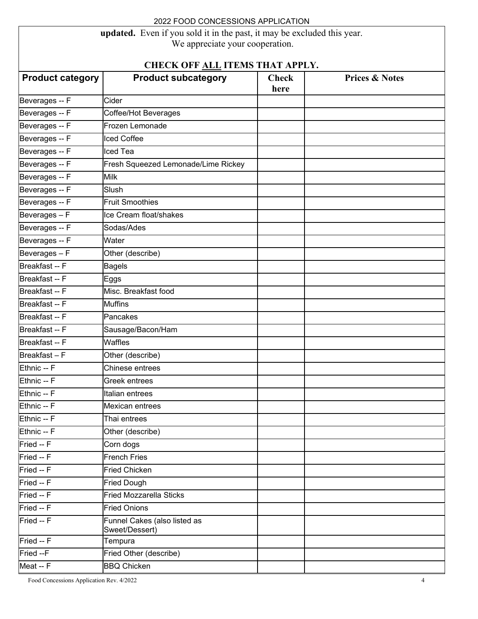**updated.** Even if you sold it in the past, it may be excluded this year.

We appreciate your cooperation.

# **CHECK OFF ALL ITEMS THAT APPLY.**

| CHECK OFF ALL ITEMS THAT APPLY. |                                                |                      |                           |  |
|---------------------------------|------------------------------------------------|----------------------|---------------------------|--|
| <b>Product category</b>         | <b>Product subcategory</b>                     | <b>Check</b><br>here | <b>Prices &amp; Notes</b> |  |
| Beverages -- F                  | Cider                                          |                      |                           |  |
| Beverages -- F                  | Coffee/Hot Beverages                           |                      |                           |  |
| Beverages -- F                  | Frozen Lemonade                                |                      |                           |  |
| Beverages -- F                  | <b>Iced Coffee</b>                             |                      |                           |  |
| Beverages -- F                  | Iced Tea                                       |                      |                           |  |
| Beverages -- F                  | Fresh Squeezed Lemonade/Lime Rickey            |                      |                           |  |
| Beverages -- F                  | <b>Milk</b>                                    |                      |                           |  |
| Beverages -- F                  | Slush                                          |                      |                           |  |
| Beverages -- F                  | <b>Fruit Smoothies</b>                         |                      |                           |  |
| Beverages-F                     | Ice Cream float/shakes                         |                      |                           |  |
| Beverages -- F                  | Sodas/Ades                                     |                      |                           |  |
| Beverages -- F                  | Water                                          |                      |                           |  |
| Beverages - F                   | Other (describe)                               |                      |                           |  |
| Breakfast -- F                  | <b>Bagels</b>                                  |                      |                           |  |
| Breakfast -- F                  | Eggs                                           |                      |                           |  |
| Breakfast -- F                  | Misc. Breakfast food                           |                      |                           |  |
| Breakfast -- F                  | <b>Muffins</b>                                 |                      |                           |  |
| Breakfast -- F                  | Pancakes                                       |                      |                           |  |
| Breakfast -- F                  | Sausage/Bacon/Ham                              |                      |                           |  |
| Breakfast -- F                  | Waffles                                        |                      |                           |  |
| Breakfast-F                     | Other (describe)                               |                      |                           |  |
| Ethnic -- F                     | Chinese entrees                                |                      |                           |  |
| Ethnic -- F                     | Greek entrees                                  |                      |                           |  |
| Ethnic -- F                     | Italian entrees                                |                      |                           |  |
| Ethnic -- F                     | Mexican entrees                                |                      |                           |  |
| Ethnic -- F                     | Thai entrees                                   |                      |                           |  |
| Ethnic -- F                     | Other (describe)                               |                      |                           |  |
| Fried -- F                      | Corn dogs                                      |                      |                           |  |
| Fried -- F                      | <b>French Fries</b>                            |                      |                           |  |
| Fried -- F                      | <b>Fried Chicken</b>                           |                      |                           |  |
| Fried -- F                      | <b>Fried Dough</b>                             |                      |                           |  |
| Fried -- F                      | <b>Fried Mozzarella Sticks</b>                 |                      |                           |  |
| Fried -- F                      | <b>Fried Onions</b>                            |                      |                           |  |
| Fried -- F                      | Funnel Cakes (also listed as<br>Sweet/Dessert) |                      |                           |  |
| Fried -- F                      | Tempura                                        |                      |                           |  |
| Fried --F                       | Fried Other (describe)                         |                      |                           |  |
| Meat -- F                       | <b>BBQ Chicken</b>                             |                      |                           |  |

Food Concessions Application Rev. 4/2022 4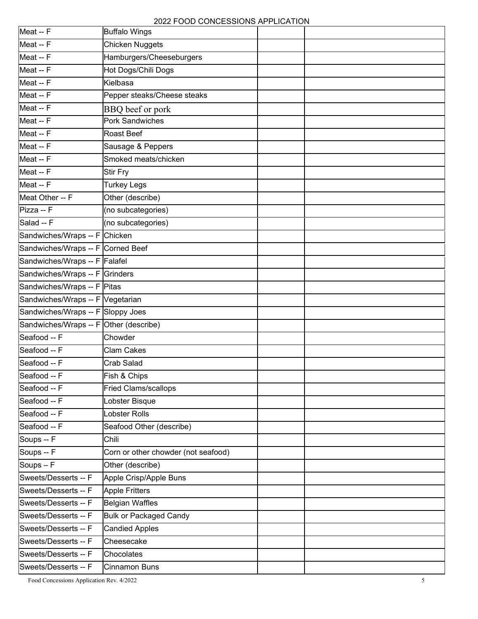| Meat -- F                              | <b>Buffalo Wings</b>                |  |
|----------------------------------------|-------------------------------------|--|
| Meat -- F                              | Chicken Nuggets                     |  |
| Meat -- F                              | Hamburgers/Cheeseburgers            |  |
| Meat -- F                              | Hot Dogs/Chili Dogs                 |  |
| Meat -- F                              | Kielbasa                            |  |
| Meat -- F                              | Pepper steaks/Cheese steaks         |  |
| Meat -- F                              | BBQ beef or pork                    |  |
| Meat -- F                              | <b>Pork Sandwiches</b>              |  |
| Meat -- F                              | Roast Beef                          |  |
| Meat -- F                              | Sausage & Peppers                   |  |
| Meat -- F                              | Smoked meats/chicken                |  |
| Meat -- F                              | <b>Stir Fry</b>                     |  |
| Meat -- F                              | <b>Turkey Legs</b>                  |  |
| Meat Other -- F                        | Other (describe)                    |  |
| Pizza -- F                             | (no subcategories)                  |  |
| Salad -- F                             | (no subcategories)                  |  |
| Sandwiches/Wraps -- F Chicken          |                                     |  |
| Sandwiches/Wraps -- F Corned Beef      |                                     |  |
| Sandwiches/Wraps -- F Falafel          |                                     |  |
| Sandwiches/Wraps -- F Grinders         |                                     |  |
| Sandwiches/Wraps -- F Pitas            |                                     |  |
| Sandwiches/Wraps -- F Vegetarian       |                                     |  |
| Sandwiches/Wraps -- F Sloppy Joes      |                                     |  |
| Sandwiches/Wraps -- F Other (describe) |                                     |  |
| Seafood -- F                           | Chowder                             |  |
| Seafood -- F                           | Clam Cakes                          |  |
| Seafood -- F                           | Crab Salad                          |  |
| Seafood -- F                           | Fish & Chips                        |  |
| Seafood -- F                           | <b>Fried Clams/scallops</b>         |  |
| Seafood -- F                           | Lobster Bisque                      |  |
| Seafood -- F                           | Lobster Rolls                       |  |
| Seafood -- F                           | Seafood Other (describe)            |  |
| Soups -- F                             | Chili                               |  |
| Soups -- F                             | Corn or other chowder (not seafood) |  |
| Soups $-F$                             | Other (describe)                    |  |
| Sweets/Desserts -- F                   | Apple Crisp/Apple Buns              |  |
| Sweets/Desserts -- F                   | <b>Apple Fritters</b>               |  |
| Sweets/Desserts -- F                   | <b>Belgian Waffles</b>              |  |
| Sweets/Desserts -- F                   | <b>Bulk or Packaged Candy</b>       |  |
| Sweets/Desserts -- F                   | <b>Candied Apples</b>               |  |
| Sweets/Desserts -- F                   | Cheesecake                          |  |
| Sweets/Desserts -- F                   | Chocolates                          |  |
| Sweets/Desserts -- F                   | <b>Cinnamon Buns</b>                |  |

Food Concessions Application Rev. 4/2022 5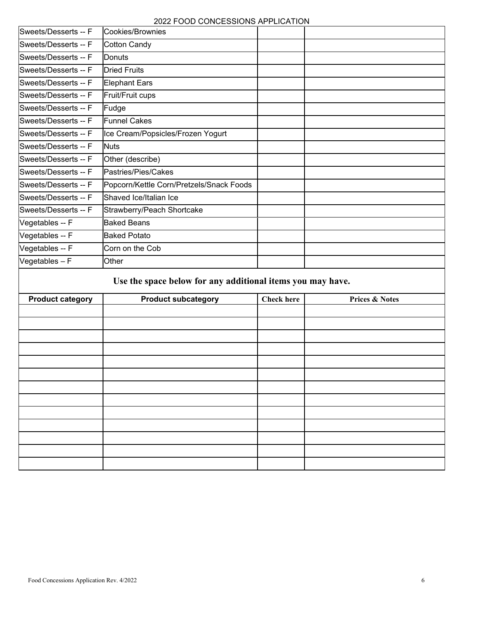2022 FOOD CONCESSIONS APPLICATION

|                         | 2022 FOOD CONCESSIONS APPLICATION                          |                   |                           |
|-------------------------|------------------------------------------------------------|-------------------|---------------------------|
| Sweets/Desserts -- F    | Cookies/Brownies                                           |                   |                           |
| Sweets/Desserts -- F    | <b>Cotton Candy</b>                                        |                   |                           |
| Sweets/Desserts -- F    | Donuts                                                     |                   |                           |
| Sweets/Desserts -- F    | <b>Dried Fruits</b>                                        |                   |                           |
| Sweets/Desserts -- F    | <b>Elephant Ears</b>                                       |                   |                           |
| Sweets/Desserts -- F    | Fruit/Fruit cups                                           |                   |                           |
| Sweets/Desserts -- F    | Fudge                                                      |                   |                           |
| Sweets/Desserts -- F    | <b>Funnel Cakes</b>                                        |                   |                           |
| Sweets/Desserts -- F    | Ice Cream/Popsicles/Frozen Yogurt                          |                   |                           |
| Sweets/Desserts -- F    | <b>Nuts</b>                                                |                   |                           |
| Sweets/Desserts -- F    | Other (describe)                                           |                   |                           |
| Sweets/Desserts -- F    | Pastries/Pies/Cakes                                        |                   |                           |
| Sweets/Desserts -- F    | Popcorn/Kettle Corn/Pretzels/Snack Foods                   |                   |                           |
| Sweets/Desserts -- F    | Shaved Ice/Italian Ice                                     |                   |                           |
| Sweets/Desserts -- F    | Strawberry/Peach Shortcake                                 |                   |                           |
| Vegetables -- F         | <b>Baked Beans</b>                                         |                   |                           |
| Vegetables -- F         | <b>Baked Potato</b>                                        |                   |                           |
| Vegetables -- F         | Corn on the Cob                                            |                   |                           |
| Vegetables - F          | Other                                                      |                   |                           |
|                         | Use the space below for any additional items you may have. |                   |                           |
| <b>Product category</b> | <b>Product subcategory</b>                                 | <b>Check here</b> | <b>Prices &amp; Notes</b> |
|                         |                                                            |                   |                           |
|                         |                                                            |                   |                           |
|                         |                                                            |                   |                           |
|                         |                                                            |                   |                           |
|                         |                                                            |                   |                           |
|                         |                                                            |                   |                           |
|                         |                                                            |                   |                           |
|                         |                                                            |                   |                           |
|                         |                                                            |                   |                           |
|                         |                                                            |                   |                           |
|                         |                                                            |                   |                           |
|                         |                                                            |                   |                           |
|                         |                                                            |                   |                           |